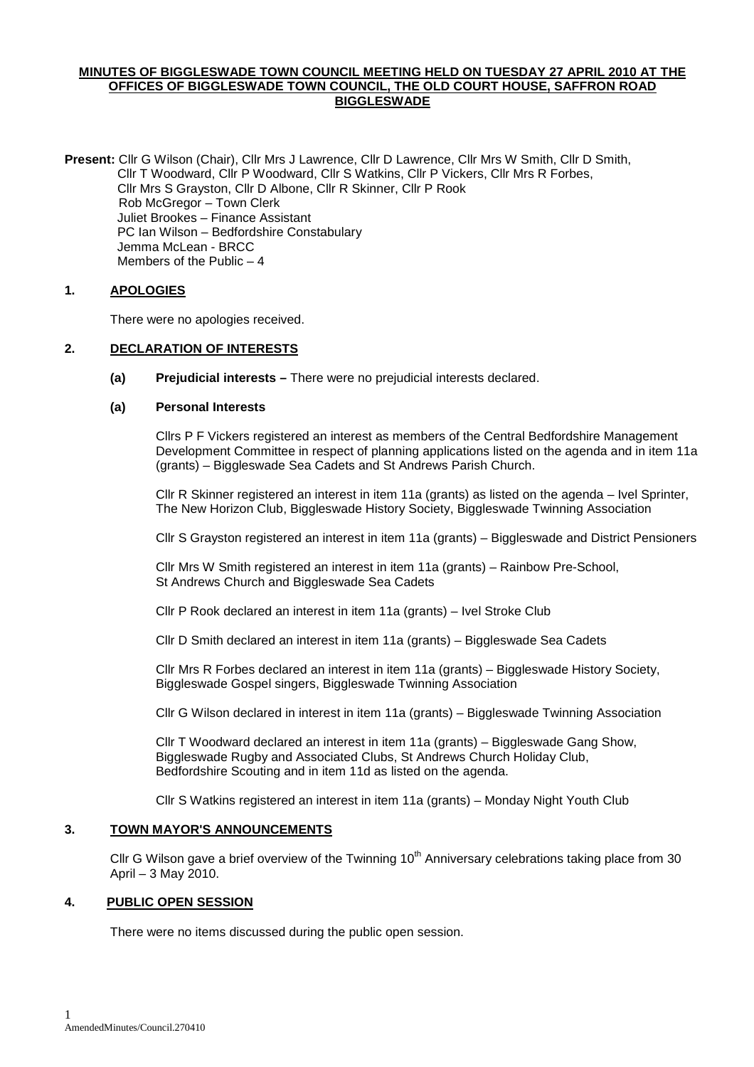### **MINUTES OF BIGGLESWADE TOWN COUNCIL MEETING HELD ON TUESDAY 27 APRIL 2010 AT THE OFFICES OF BIGGLESWADE TOWN COUNCIL, THE OLD COURT HOUSE, SAFFRON ROAD BIGGLESWADE**

**Present:** Cllr G Wilson (Chair), Cllr Mrs J Lawrence, Cllr D Lawrence, Cllr Mrs W Smith, Cllr D Smith, Cllr T Woodward, Cllr P Woodward, Cllr S Watkins, Cllr P Vickers, Cllr Mrs R Forbes, Cllr Mrs S Grayston, Cllr D Albone, Cllr R Skinner, Cllr P Rook Rob McGregor – Town Clerk Juliet Brookes – Finance Assistant PC Ian Wilson – Bedfordshire Constabulary Jemma McLean - BRCC Members of the Public – 4

## **1. APOLOGIES**

There were no apologies received.

### **2. DECLARATION OF INTERESTS**

**(a) Prejudicial interests –** There were no prejudicial interests declared.

### **(a) Personal Interests**

Cllrs P F Vickers registered an interest as members of the Central Bedfordshire Management Development Committee in respect of planning applications listed on the agenda and in item 11a (grants) – Biggleswade Sea Cadets and St Andrews Parish Church.

 Cllr R Skinner registered an interest in item 11a (grants) as listed on the agenda – Ivel Sprinter, The New Horizon Club, Biggleswade History Society, Biggleswade Twinning Association

Cllr S Grayston registered an interest in item 11a (grants) – Biggleswade and District Pensioners

 Cllr Mrs W Smith registered an interest in item 11a (grants) – Rainbow Pre-School, St Andrews Church and Biggleswade Sea Cadets

Cllr P Rook declared an interest in item 11a (grants) – Ivel Stroke Club

Cllr D Smith declared an interest in item 11a (grants) – Biggleswade Sea Cadets

 Cllr Mrs R Forbes declared an interest in item 11a (grants) – Biggleswade History Society, Biggleswade Gospel singers, Biggleswade Twinning Association

Cllr G Wilson declared in interest in item 11a (grants) – Biggleswade Twinning Association

 Cllr T Woodward declared an interest in item 11a (grants) – Biggleswade Gang Show, Biggleswade Rugby and Associated Clubs, St Andrews Church Holiday Club, Bedfordshire Scouting and in item 11d as listed on the agenda.

Cllr S Watkins registered an interest in item 11a (grants) – Monday Night Youth Club

## **3. TOWN MAYOR'S ANNOUNCEMENTS**

Cllr G Wilson gave a brief overview of the Twinning 10<sup>th</sup> Anniversary celebrations taking place from 30 April – 3 May 2010.

## **4. PUBLIC OPEN SESSION**

There were no items discussed during the public open session.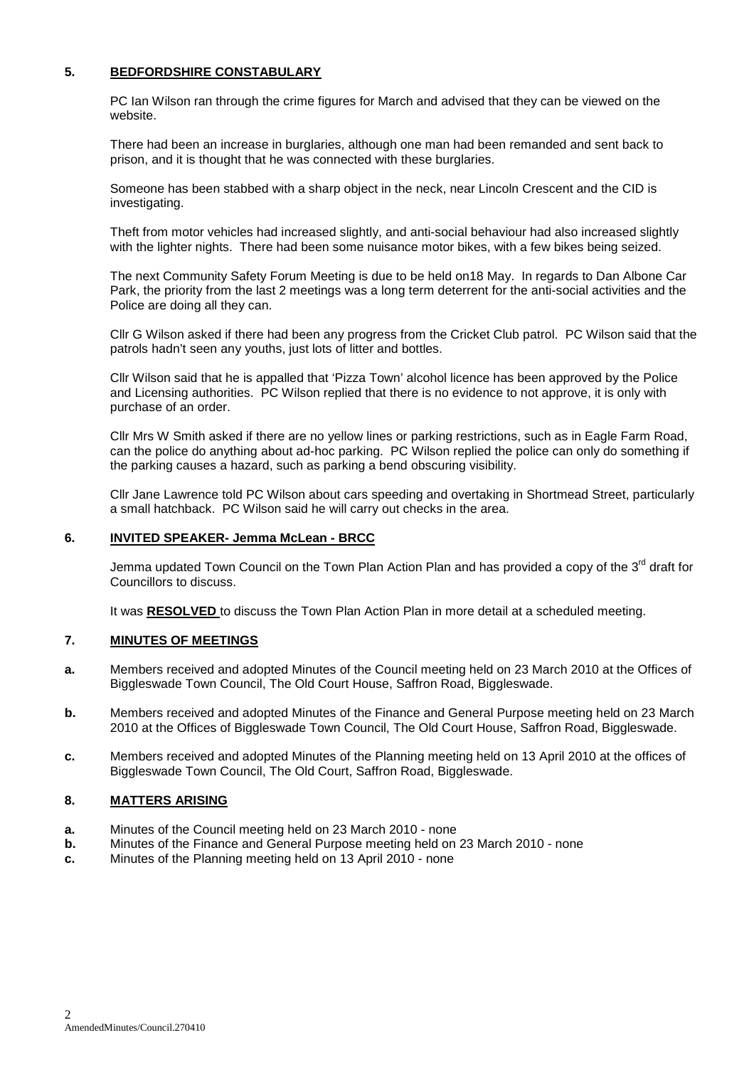## **5. BEDFORDSHIRE CONSTABULARY**

PC Ian Wilson ran through the crime figures for March and advised that they can be viewed on the website.

There had been an increase in burglaries, although one man had been remanded and sent back to prison, and it is thought that he was connected with these burglaries.

Someone has been stabbed with a sharp object in the neck, near Lincoln Crescent and the CID is investigating.

Theft from motor vehicles had increased slightly, and anti-social behaviour had also increased slightly with the lighter nights. There had been some nuisance motor bikes, with a few bikes being seized.

The next Community Safety Forum Meeting is due to be held on18 May. In regards to Dan Albone Car Park, the priority from the last 2 meetings was a long term deterrent for the anti-social activities and the Police are doing all they can.

Cllr G Wilson asked if there had been any progress from the Cricket Club patrol. PC Wilson said that the patrols hadn't seen any youths, just lots of litter and bottles.

Cllr Wilson said that he is appalled that 'Pizza Town' alcohol licence has been approved by the Police and Licensing authorities. PC Wilson replied that there is no evidence to not approve, it is only with purchase of an order.

Cllr Mrs W Smith asked if there are no yellow lines or parking restrictions, such as in Eagle Farm Road, can the police do anything about ad-hoc parking. PC Wilson replied the police can only do something if the parking causes a hazard, such as parking a bend obscuring visibility.

Cllr Jane Lawrence told PC Wilson about cars speeding and overtaking in Shortmead Street, particularly a small hatchback. PC Wilson said he will carry out checks in the area.

### **6. INVITED SPEAKER- Jemma McLean - BRCC**

Jemma updated Town Council on the Town Plan Action Plan and has provided a copy of the  $3<sup>rd</sup>$  draft for Councillors to discuss.

It was **RESOLVED** to discuss the Town Plan Action Plan in more detail at a scheduled meeting.

#### **7. MINUTES OF MEETINGS**

- **a.** Members received and adopted Minutes of the Council meeting held on 23 March 2010 at the Offices of Biggleswade Town Council, The Old Court House, Saffron Road, Biggleswade.
- **b.** Members received and adopted Minutes of the Finance and General Purpose meeting held on 23 March 2010 at the Offices of Biggleswade Town Council, The Old Court House, Saffron Road, Biggleswade.
- **c.** Members received and adopted Minutes of the Planning meeting held on 13 April 2010 at the offices of Biggleswade Town Council, The Old Court, Saffron Road, Biggleswade.

#### **8. MATTERS ARISING**

- **a.** Minutes of the Council meeting held on 23 March 2010 none
- **b.** Minutes of the Finance and General Purpose meeting held on 23 March 2010 none
- **c.** Minutes of the Planning meeting held on 13 April 2010 none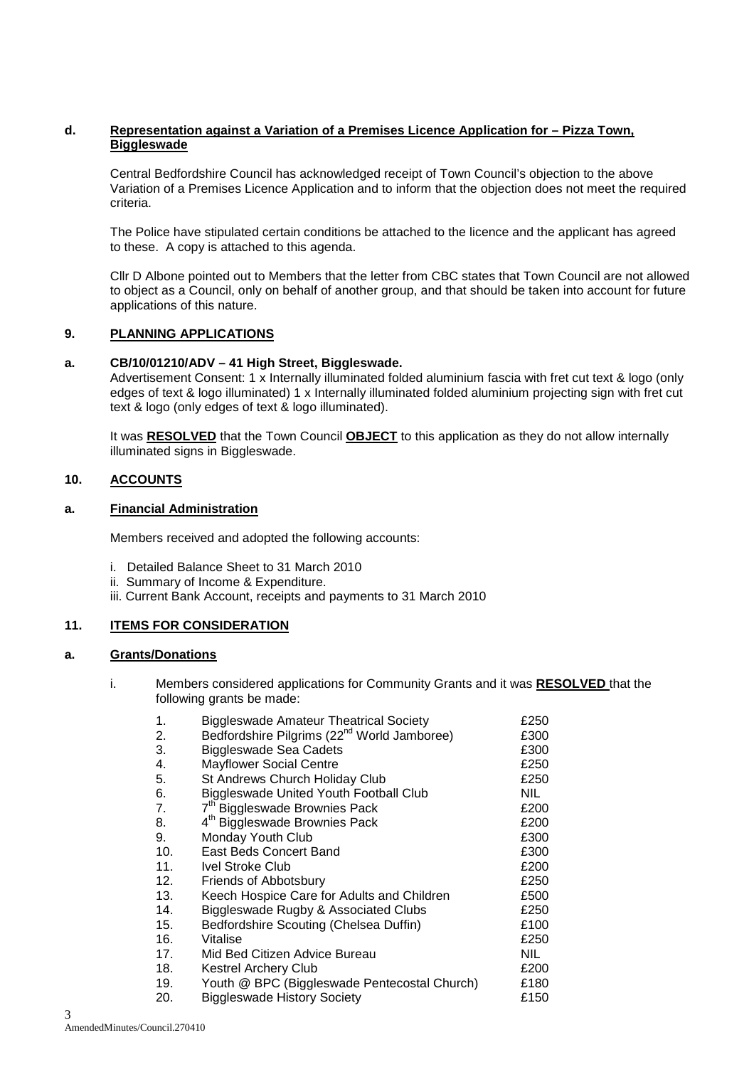## **d. Representation against a Variation of a Premises Licence Application for – Pizza Town, Biggleswade**

Central Bedfordshire Council has acknowledged receipt of Town Council's objection to the above Variation of a Premises Licence Application and to inform that the objection does not meet the required criteria.

The Police have stipulated certain conditions be attached to the licence and the applicant has agreed to these. A copy is attached to this agenda.

 Cllr D Albone pointed out to Members that the letter from CBC states that Town Council are not allowed to object as a Council, only on behalf of another group, and that should be taken into account for future applications of this nature.

### **9. PLANNING APPLICATIONS**

### **a. CB/10/01210/ADV – 41 High Street, Biggleswade.**

Advertisement Consent: 1 x Internally illuminated folded aluminium fascia with fret cut text & logo (only edges of text & logo illuminated) 1 x Internally illuminated folded aluminium projecting sign with fret cut text & logo (only edges of text & logo illuminated).

It was **RESOLVED** that the Town Council **OBJECT** to this application as they do not allow internally illuminated signs in Biggleswade.

### **10. ACCOUNTS**

#### **a. Financial Administration**

Members received and adopted the following accounts:

- i. Detailed Balance Sheet to 31 March 2010
- ii. Summary of Income & Expenditure.
- iii. Current Bank Account, receipts and payments to 31 March 2010

## **11. ITEMS FOR CONSIDERATION**

# **a. Grants/Donations**

i. Members considered applications for Community Grants and it was **RESOLVED** that the following grants be made:

| 1.  | <b>Biggleswade Amateur Theatrical Society</b>           | £250 |
|-----|---------------------------------------------------------|------|
| 2.  | Bedfordshire Pilgrims (22 <sup>nd</sup> World Jamboree) | £300 |
| 3.  | <b>Biggleswade Sea Cadets</b>                           | £300 |
| 4.  | <b>Mayflower Social Centre</b>                          | £250 |
| 5.  | St Andrews Church Holiday Club                          | £250 |
| 6.  | <b>Biggleswade United Youth Football Club</b>           | NIL. |
| 7.  | 7 <sup>th</sup> Biggleswade Brownies Pack               | £200 |
| 8.  | 4 <sup>th</sup> Biggleswade Brownies Pack               | £200 |
| 9.  | Monday Youth Club                                       | £300 |
| 10. | East Beds Concert Band                                  | £300 |
| 11. | <b>Ivel Stroke Club</b>                                 | £200 |
| 12. | Friends of Abbotsbury                                   | £250 |
| 13. | Keech Hospice Care for Adults and Children              | £500 |
| 14. | Biggleswade Rugby & Associated Clubs                    | £250 |
| 15. | Bedfordshire Scouting (Chelsea Duffin)                  | £100 |
| 16. | Vitalise                                                | £250 |
| 17. | Mid Bed Citizen Advice Bureau                           | NIL. |
| 18. | <b>Kestrel Archery Club</b>                             | £200 |
| 19. | Youth @ BPC (Biggleswade Pentecostal Church)            | £180 |
| 20. | <b>Biggleswade History Society</b>                      | £150 |
|     |                                                         |      |

3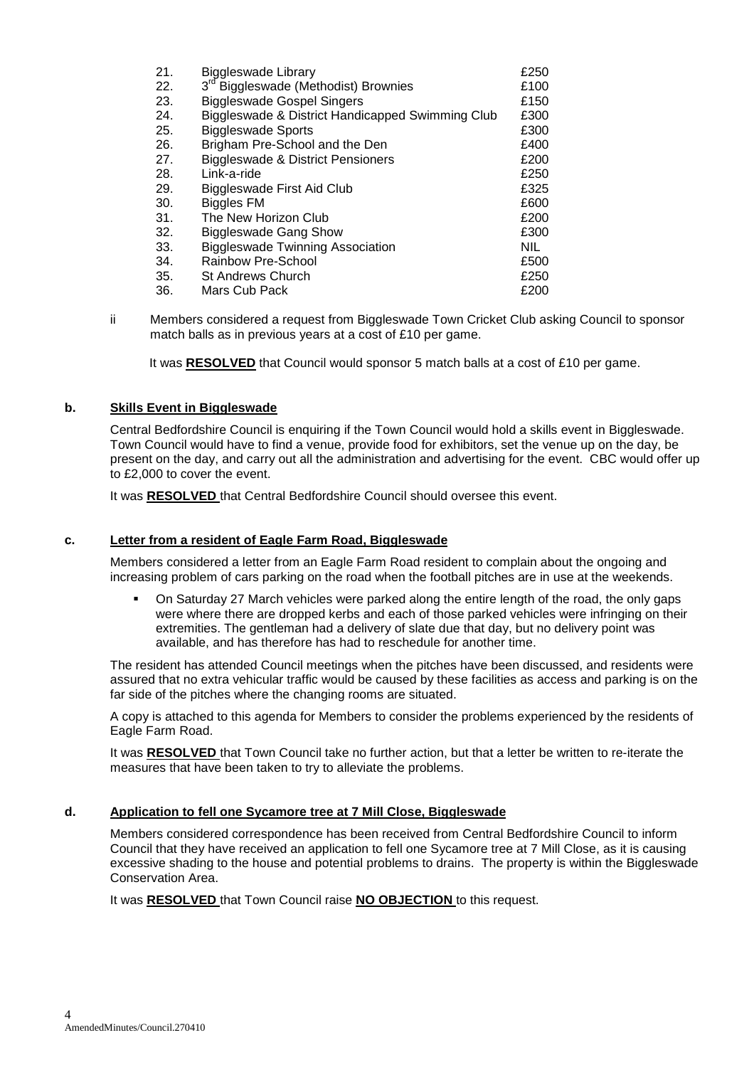| 21. | Biggleswade Library                              | £250       |
|-----|--------------------------------------------------|------------|
| 22. | 3 <sup>rd</sup> Biggleswade (Methodist) Brownies | £100       |
| 23. | <b>Biggleswade Gospel Singers</b>                | £150       |
| 24. | Biggleswade & District Handicapped Swimming Club | £300       |
| 25. | <b>Biggleswade Sports</b>                        | £300       |
| 26. | Brigham Pre-School and the Den                   | £400       |
| 27. | <b>Biggleswade &amp; District Pensioners</b>     | £200       |
| 28. | Link-a-ride                                      | £250       |
| 29. | Biggleswade First Aid Club                       | £325       |
| 30. | <b>Biggles FM</b>                                | £600       |
| 31. | The New Horizon Club                             | £200       |
| 32. | <b>Biggleswade Gang Show</b>                     | £300       |
| 33. | <b>Biggleswade Twinning Association</b>          | <b>NIL</b> |
| 34. | Rainbow Pre-School                               | £500       |
| 35. | <b>St Andrews Church</b>                         | £250       |
| 36. | Mars Cub Pack                                    | £200       |

ii Members considered a request from Biggleswade Town Cricket Club asking Council to sponsor match balls as in previous years at a cost of £10 per game.

It was **RESOLVED** that Council would sponsor 5 match balls at a cost of £10 per game.

### **b. Skills Event in Biggleswade**

Central Bedfordshire Council is enquiring if the Town Council would hold a skills event in Biggleswade. Town Council would have to find a venue, provide food for exhibitors, set the venue up on the day, be present on the day, and carry out all the administration and advertising for the event. CBC would offer up to £2,000 to cover the event.

It was **RESOLVED** that Central Bedfordshire Council should oversee this event.

## **c. Letter from a resident of Eagle Farm Road, Biggleswade**

Members considered a letter from an Eagle Farm Road resident to complain about the ongoing and increasing problem of cars parking on the road when the football pitches are in use at the weekends.

 On Saturday 27 March vehicles were parked along the entire length of the road, the only gaps were where there are dropped kerbs and each of those parked vehicles were infringing on their extremities. The gentleman had a delivery of slate due that day, but no delivery point was available, and has therefore has had to reschedule for another time.

The resident has attended Council meetings when the pitches have been discussed, and residents were assured that no extra vehicular traffic would be caused by these facilities as access and parking is on the far side of the pitches where the changing rooms are situated.

A copy is attached to this agenda for Members to consider the problems experienced by the residents of Eagle Farm Road.

It was **RESOLVED** that Town Council take no further action, but that a letter be written to re-iterate the measures that have been taken to try to alleviate the problems.

### **d. Application to fell one Sycamore tree at 7 Mill Close, Biggleswade**

Members considered correspondence has been received from Central Bedfordshire Council to inform Council that they have received an application to fell one Sycamore tree at 7 Mill Close, as it is causing excessive shading to the house and potential problems to drains. The property is within the Biggleswade Conservation Area.

It was **RESOLVED** that Town Council raise **NO OBJECTION** to this request.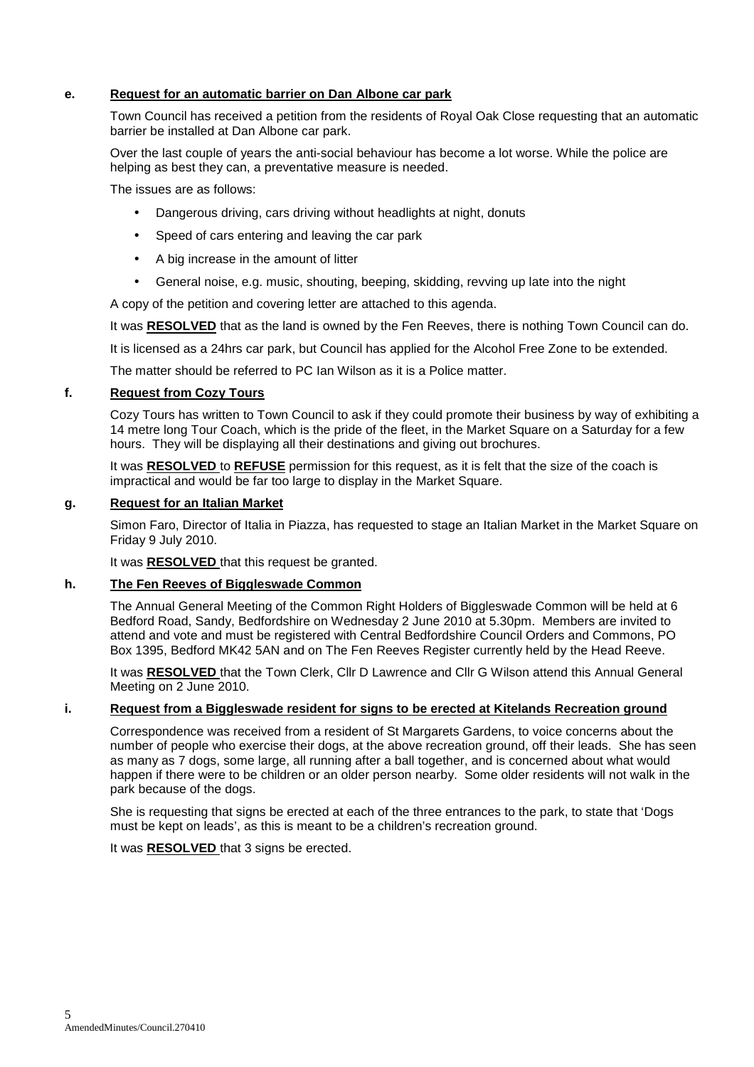## **e. Request for an automatic barrier on Dan Albone car park**

 Town Council has received a petition from the residents of Royal Oak Close requesting that an automatic barrier be installed at Dan Albone car park.

 Over the last couple of years the anti-social behaviour has become a lot worse. While the police are helping as best they can, a preventative measure is needed.

The issues are as follows:

- Dangerous driving, cars driving without headlights at night, donuts
- Speed of cars entering and leaving the car park
- A big increase in the amount of litter
- General noise, e.g. music, shouting, beeping, skidding, revving up late into the night

A copy of the petition and covering letter are attached to this agenda.

It was RESOLVED that as the land is owned by the Fen Reeves, there is nothing Town Council can do.

It is licensed as a 24hrs car park, but Council has applied for the Alcohol Free Zone to be extended.

The matter should be referred to PC Ian Wilson as it is a Police matter.

#### **f. Request from Cozy Tours**

 Cozy Tours has written to Town Council to ask if they could promote their business by way of exhibiting a 14 metre long Tour Coach, which is the pride of the fleet, in the Market Square on a Saturday for a few hours. They will be displaying all their destinations and giving out brochures.

 It was **RESOLVED** to **REFUSE** permission for this request, as it is felt that the size of the coach is impractical and would be far too large to display in the Market Square.

#### **g. Request for an Italian Market**

Simon Faro, Director of Italia in Piazza, has requested to stage an Italian Market in the Market Square on Friday 9 July 2010.

It was **RESOLVED** that this request be granted.

### **h. The Fen Reeves of Biggleswade Common**

 The Annual General Meeting of the Common Right Holders of Biggleswade Common will be held at 6 Bedford Road, Sandy, Bedfordshire on Wednesday 2 June 2010 at 5.30pm. Members are invited to attend and vote and must be registered with Central Bedfordshire Council Orders and Commons, PO Box 1395, Bedford MK42 5AN and on The Fen Reeves Register currently held by the Head Reeve.

 It was **RESOLVED** that the Town Clerk, Cllr D Lawrence and Cllr G Wilson attend this Annual General Meeting on 2 June 2010.

### **i. Request from a Biggleswade resident for signs to be erected at Kitelands Recreation ground**

 Correspondence was received from a resident of St Margarets Gardens, to voice concerns about the number of people who exercise their dogs, at the above recreation ground, off their leads. She has seen as many as 7 dogs, some large, all running after a ball together, and is concerned about what would happen if there were to be children or an older person nearby. Some older residents will not walk in the park because of the dogs.

 She is requesting that signs be erected at each of the three entrances to the park, to state that 'Dogs must be kept on leads', as this is meant to be a children's recreation ground.

It was **RESOLVED** that 3 signs be erected.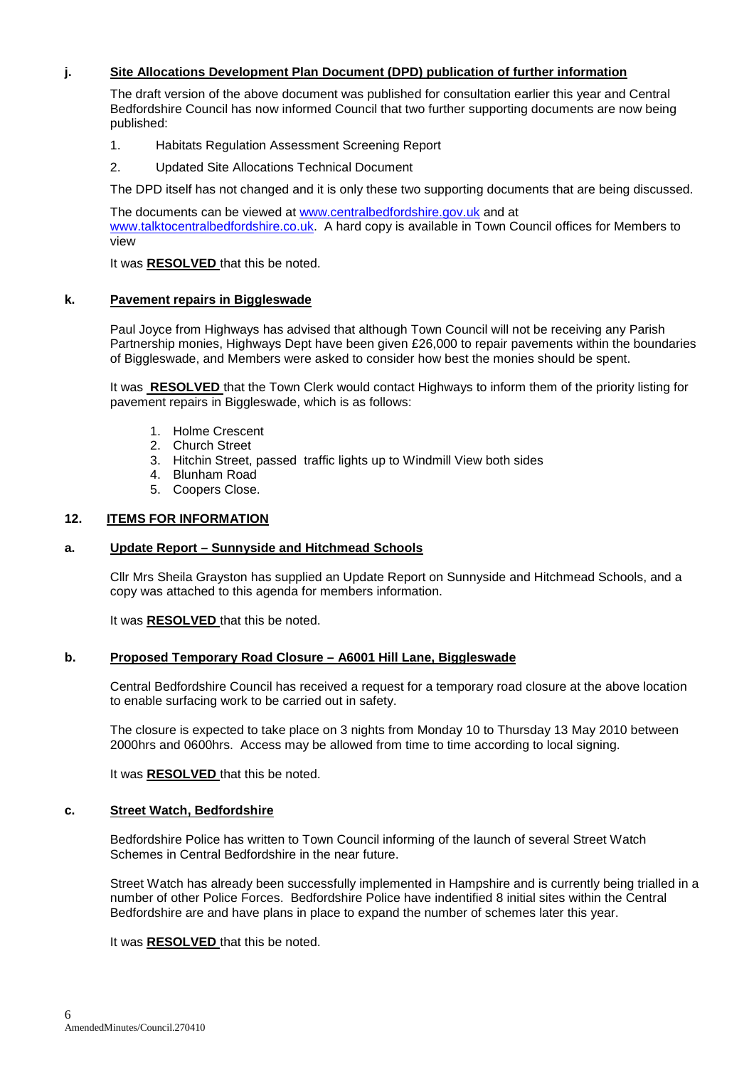## **j. Site Allocations Development Plan Document (DPD) publication of further information**

 The draft version of the above document was published for consultation earlier this year and Central Bedfordshire Council has now informed Council that two further supporting documents are now being published:

- 1. Habitats Regulation Assessment Screening Report
- 2. Updated Site Allocations Technical Document

The DPD itself has not changed and it is only these two supporting documents that are being discussed.

The documents can be viewed at www.centralbedfordshire.gov.uk and at www.talktocentralbedfordshire.co.uk. A hard copy is available in Town Council offices for Members to view

It was **RESOLVED** that this be noted.

### **k. Pavement repairs in Biggleswade**

Paul Joyce from Highways has advised that although Town Council will not be receiving any Parish Partnership monies, Highways Dept have been given £26,000 to repair pavements within the boundaries of Biggleswade, and Members were asked to consider how best the monies should be spent.

It was **RESOLVED** that the Town Clerk would contact Highways to inform them of the priority listing for pavement repairs in Biggleswade, which is as follows:

- 1. Holme Crescent
- 2. Church Street
- 3. Hitchin Street, passed traffic lights up to Windmill View both sides
- 4. Blunham Road
- 5. Coopers Close.

### **12. ITEMS FOR INFORMATION**

#### **a. Update Report – Sunnyside and Hitchmead Schools**

Cllr Mrs Sheila Grayston has supplied an Update Report on Sunnyside and Hitchmead Schools, and a copy was attached to this agenda for members information.

It was **RESOLVED** that this be noted.

#### **b. Proposed Temporary Road Closure – A6001 Hill Lane, Biggleswade**

Central Bedfordshire Council has received a request for a temporary road closure at the above location to enable surfacing work to be carried out in safety.

The closure is expected to take place on 3 nights from Monday 10 to Thursday 13 May 2010 between 2000hrs and 0600hrs. Access may be allowed from time to time according to local signing.

It was **RESOLVED** that this be noted.

#### **c. Street Watch, Bedfordshire**

Bedfordshire Police has written to Town Council informing of the launch of several Street Watch Schemes in Central Bedfordshire in the near future.

Street Watch has already been successfully implemented in Hampshire and is currently being trialled in a number of other Police Forces. Bedfordshire Police have indentified 8 initial sites within the Central Bedfordshire are and have plans in place to expand the number of schemes later this year.

It was **RESOLVED** that this be noted.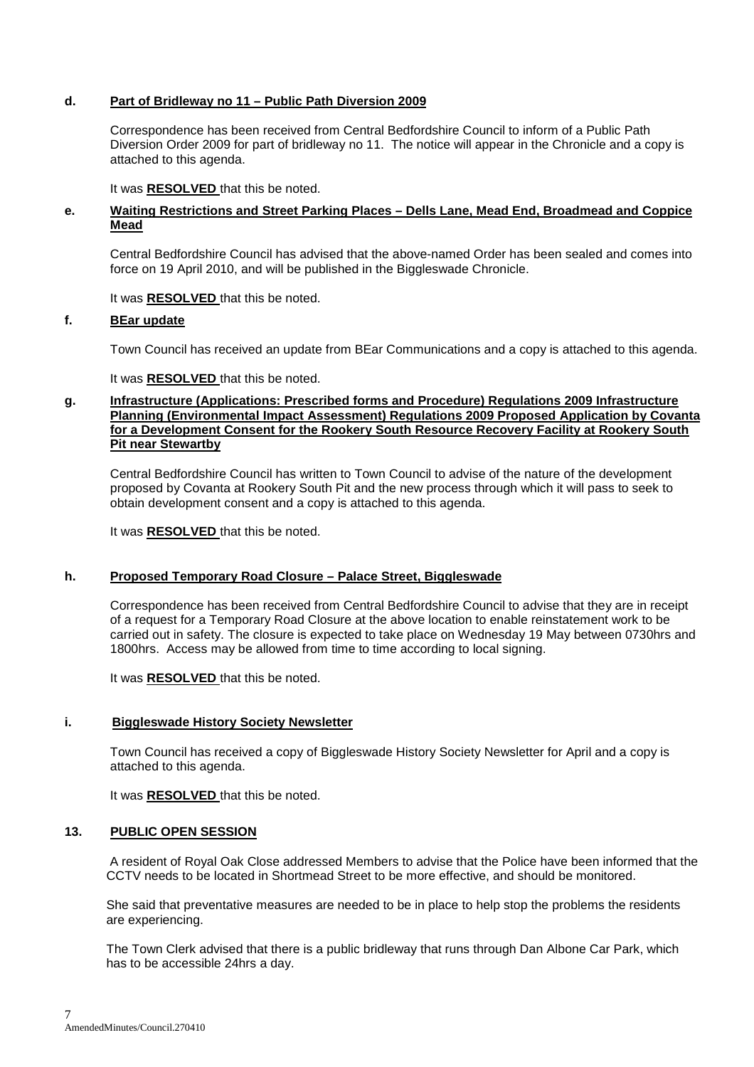## **d. Part of Bridleway no 11 – Public Path Diversion 2009**

Correspondence has been received from Central Bedfordshire Council to inform of a Public Path Diversion Order 2009 for part of bridleway no 11. The notice will appear in the Chronicle and a copy is attached to this agenda.

It was **RESOLVED** that this be noted.

### **e. Waiting Restrictions and Street Parking Places – Dells Lane, Mead End, Broadmead and Coppice Mead**

Central Bedfordshire Council has advised that the above-named Order has been sealed and comes into force on 19 April 2010, and will be published in the Biggleswade Chronicle.

It was **RESOLVED** that this be noted.

#### **f. BEar update**

Town Council has received an update from BEar Communications and a copy is attached to this agenda.

It was **RESOLVED** that this be noted.

### **g. Infrastructure (Applications: Prescribed forms and Procedure) Regulations 2009 Infrastructure Planning (Environmental Impact Assessment) Regulations 2009 Proposed Application by Covanta for a Development Consent for the Rookery South Resource Recovery Facility at Rookery South Pit near Stewartby**

 Central Bedfordshire Council has written to Town Council to advise of the nature of the development proposed by Covanta at Rookery South Pit and the new process through which it will pass to seek to obtain development consent and a copy is attached to this agenda.

It was **RESOLVED** that this be noted.

#### **h. Proposed Temporary Road Closure – Palace Street, Biggleswade**

 Correspondence has been received from Central Bedfordshire Council to advise that they are in receipt of a request for a Temporary Road Closure at the above location to enable reinstatement work to be carried out in safety. The closure is expected to take place on Wednesday 19 May between 0730hrs and 1800hrs. Access may be allowed from time to time according to local signing.

It was **RESOLVED** that this be noted.

#### **i. Biggleswade History Society Newsletter**

Town Council has received a copy of Biggleswade History Society Newsletter for April and a copy is attached to this agenda.

It was **RESOLVED** that this be noted.

#### **13. PUBLIC OPEN SESSION**

 A resident of Royal Oak Close addressed Members to advise that the Police have been informed that the CCTV needs to be located in Shortmead Street to be more effective, and should be monitored.

She said that preventative measures are needed to be in place to help stop the problems the residents are experiencing.

The Town Clerk advised that there is a public bridleway that runs through Dan Albone Car Park, which has to be accessible 24hrs a day.